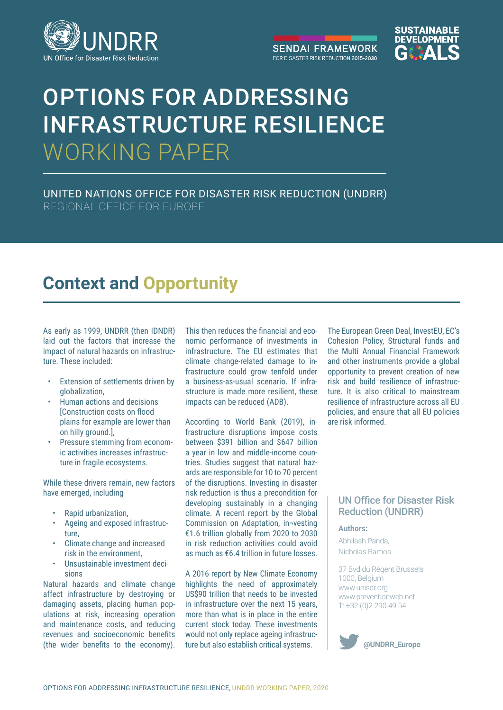

**SENDAI FRAMEWORK** FOR DISASTER RISK REDUCTION 2015-2030



# OPTIONS FOR ADDRESSING INFRASTRUCTURE RESILIENC**E**  WORKING PAPER

UNITED NATIONS OFFICE FOR DISASTER RISK REDUCTION (UNDRR) REGIONAL OFFICE FOR EUROPE

# **Context and Opportunity**

As early as 1999, UNDRR (then IDNDR) laid out the factors that increase the impact of natural hazards on infrastructure. These included:

- Extension of settlements driven by globalization,
- Human actions and decisions [Construction costs on flood plains for example are lower than on hilly ground.],
- Pressure stemming from economic activities increases infrastructure in fragile ecosystems.

While these drivers remain, new factors have emerged, including

- Rapid urbanization,
- Ageing and exposed infrastructure,
- Climate change and increased risk in the environment,
- Unsustainable investment decisions

Natural hazards and climate change affect infrastructure by destroying or damaging assets, placing human populations at risk, increasing operation and maintenance costs, and reducing revenues and socioeconomic benefits (the wider benefits to the economy).

This then reduces the financial and economic performance of investments in infrastructure. The EU estimates that climate change-related damage to infrastructure could grow tenfold under a business-as-usual scenario. If infrastructure is made more resilient, these impacts can be reduced (ADB).

According to World Bank (2019), infrastructure disruptions impose costs between \$391 billion and \$647 billion a year in low and middle-income countries. Studies suggest that natural hazards are responsible for 10 to 70 percent of the disruptions. Investing in disaster risk reduction is thus a precondition for developing sustainably in a changing climate. A recent report by the Global Commission on Adaptation, in¬vesting €1.6 trillion globally from 2020 to 2030 in risk reduction activities could avoid as much as €6.4 trillion in future losses.

A 2016 report by New Climate Economy highlights the need of approximately US\$90 trillion that needs to be invested in infrastructure over the next 15 years, more than what is in place in the entire current stock today. These investments would not only replace ageing infrastructure but also establish critical systems.

The European Green Deal, InvestEU, EC's Cohesion Policy, Structural funds and the Multi Annual Financial Framework and other instruments provide a global opportunity to prevent creation of new risk and build resilience of infrastructure. It is also critical to mainstream resilience of infrastructure across all EU policies, and ensure that all EU policies are risk informed.

# UN Office for Disaster Risk Reduction (UNDRR)

#### **Authors:**

Abhilash Panda, Nicholas Ramos

37 Bvd du Régent Brussels 1000, Belgium www.unisdr.org www.preventionweb.net T: +32 (0)2 290 49 54

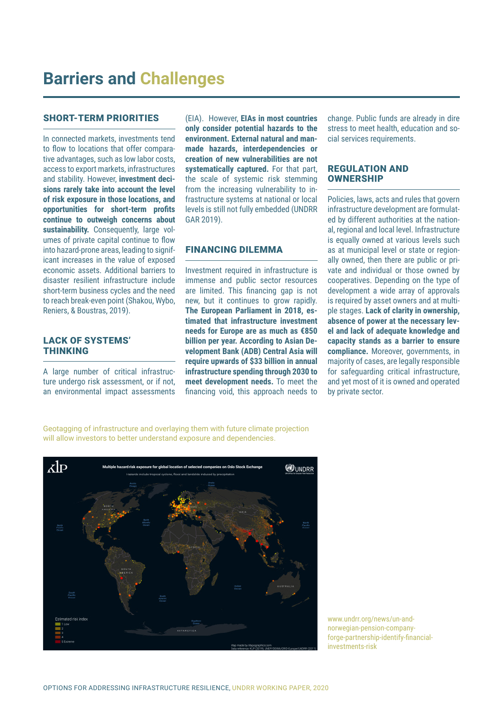#### SHORT-TERM PRIORITIES

In connected markets, investments tend to flow to locations that offer comparative advantages, such as low labor costs, access to export markets, infrastructures and stability. However, **investment decisions rarely take into account the level of risk exposure in those locations, and opportunities for short-term profits continue to outweigh concerns about sustainability.** Consequently, large volumes of private capital continue to flow into hazard-prone areas, leading to significant increases in the value of exposed economic assets. Additional barriers to disaster resilient infrastructure include short-term business cycles and the need to reach break-even point (Shakou, Wybo, Reniers, & Boustras, 2019).

## LACK OF SYSTEMS' THINKING

A large number of critical infrastructure undergo risk assessment, or if not, an environmental impact assessments

(EIA). However, **EIAs in most countries only consider potential hazards to the environment. External natural and manmade hazards, interdependencies or creation of new vulnerabilities are not systematically captured.** For that part, the scale of systemic risk stemming from the increasing vulnerability to infrastructure systems at national or local levels is still not fully embedded (UNDRR GAR 2019).

#### FINANCING DILEMMA

Investment required in infrastructure is immense and public sector resources are limited. This financing gap is not new, but it continues to grow rapidly. **The European Parliament in 2018, estimated that infrastructure investment needs for Europe are as much as €850 billion per year. According to Asian Development Bank (ADB) Central Asia will require upwards of \$33 billion in annual infrastructure spending through 2030 to meet development needs.** To meet the financing void, this approach needs to

change. Public funds are already in dire stress to meet health, education and social services requirements.

#### REGULATION AND **OWNERSHIP**

Policies, laws, acts and rules that govern infrastructure development are formulated by different authorities at the national, regional and local level. Infrastructure is equally owned at various levels such as at municipal level or state or regionally owned, then there are public or private and individual or those owned by cooperatives. Depending on the type of development a wide array of approvals is required by asset owners and at multiple stages. **Lack of clarity in ownership, absence of power at the necessary level and lack of adequate knowledge and capacity stands as a barrier to ensure compliance.** Moreover, governments, in majority of cases, are legally responsible for safeguarding critical infrastructure, and yet most of it is owned and operated by private sector.

Geotagging of infrastructure and overlaying them with future climate projection will allow investors to better understand exposure and dependencies.



www.undrr.org/news/un-andnorwegian-pension-companyforge-partnership-identify-financialinvestments-risk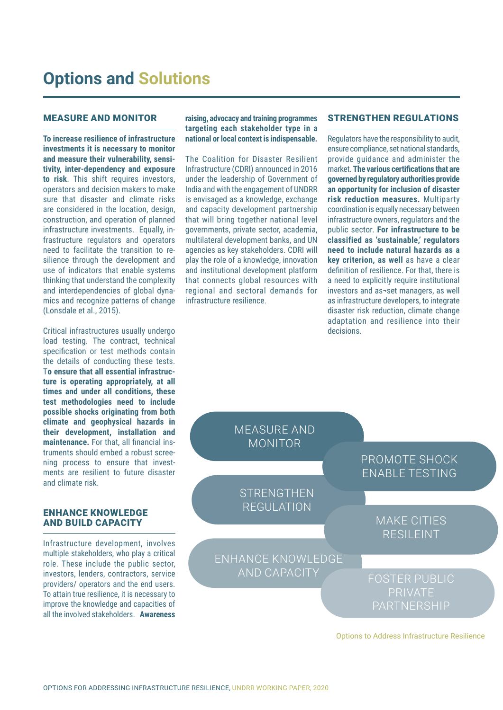# MEASURE AND MONITOR

**To increase resilience of infrastructure investments it is necessary to monitor and measure their vulnerability, sensitivity, inter-dependency and exposure to risk**. This shift requires investors, operators and decision makers to make sure that disaster and climate risks are considered in the location, design, construction, and operation of planned infrastructure investments. Equally, infrastructure regulators and operators need to facilitate the transition to resilience through the development and use of indicators that enable systems thinking that understand the complexity and interdependencies of global dynamics and recognize patterns of change (Lonsdale et al., 2015).

Critical infrastructures usually undergo load testing. The contract, technical specification or test methods contain the details of conducting these tests. T**o ensure that all essential infrastructure is operating appropriately, at all times and under all conditions, these test methodologies need to include possible shocks originating from both climate and geophysical hazards in their development, installation and maintenance.** For that, all financial instruments should embed a robust screening process to ensure that investments are resilient to future disaster and climate risk.

## ENHANCE KNOWLEDGE AND BUILD CAPACITY

Infrastructure development, involves multiple stakeholders, who play a critical role. These include the public sector, investors, lenders, contractors, service providers/ operators and the end users. To attain true resilience, it is necessary to improve the knowledge and capacities of all the involved stakeholders. **Awareness** 

**raising, advocacy and training programmes targeting each stakeholder type in a national or local context is indispensable.**

The Coalition for Disaster Resilient Infrastructure (CDRI) announced in 2016 under the leadership of Government of India and with the engagement of UNDRR is envisaged as a knowledge, exchange and capacity development partnership that will bring together national level governments, private sector, academia, multilateral development banks, and UN agencies as key stakeholders. CDRI will play the role of a knowledge, innovation and institutional development platform that connects global resources with regional and sectoral demands for infrastructure resilience.

#### STRENGTHEN REGULATIONS

Regulators have the responsibility to audit, ensure compliance, set national standards, provide guidance and administer the market. **The various certifications that are governed by regulatory authorities provide an opportunity for inclusion of disaster risk reduction measures.** Multiparty coordination is equally necessary between infrastructure owners, regulators and the public sector. **For infrastructure to be classified as 'sustainable,' regulators need to include natural hazards as a key criterion, as well** as have a clear definition of resilience. For that, there is a need to explicitly require institutional investors and as¬set managers, as well as infrastructure developers, to integrate disaster risk reduction, climate change adaptation and resilience into their decisions.



Options to Address Infrastructure Resilience